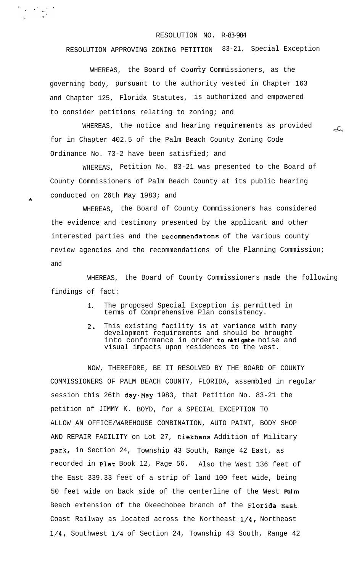## RESOLUTION NO. R-83-984

RESOLUTION APPROVING ZONING PETITION 83-21, Special Exception

WHEREAS, the Board of County Commissioners, as the governing body, pursuant to the authority vested in Chapter 163 and Chapter 125, Florida Statutes, is authorized and empowered to consider petitions relating to zoning; and

WHEREAS, the notice and hearing requirements as provided  $f$ for in Chapter 402.5 of the Palm Beach County Zoning Code Ordinance No. 73-2 have been satisfied; and

WHEREAS, Petition No. 83-21 was presented to the Board of County Commissioners of Palm Beach County at its public hearing conducted on 26th May 1983; and

a

 $\frac{d^2}{dt^2} = \frac{1}{2} \sum_{i=1}^n \frac{1}{2} \sum_{j=1}^n \frac{1}{2} \left( \frac{1}{2} \sum_{j=1}^n \frac{1}{2} \right) \left( \frac{1}{2} \sum_{j=1}^n \frac{1}{2} \right) \left( \frac{1}{2} \sum_{j=1}^n \frac{1}{2} \right) \left( \frac{1}{2} \sum_{j=1}^n \frac{1}{2} \right) \left( \frac{1}{2} \sum_{j=1}^n \frac{1}{2} \right) \left( \frac{1}{2} \sum_{j=1}^n \frac{1}{$ 

WHEREAS, the Board of County Commissioners has considered the evidence and testimony presented by the applicant and other interested parties and the recommendatons of the various county review agencies and the recommendations of the Planning Commission; and

WHEREAS, the Board of County Commissioners made the following findings of fact:

- 1. The proposed Special Exception is permitted in terms of Comprehensive Plan consistency.
- 2, This existing facility is at variance with many development requirements and should be brought into conformance in order **to mitigate** noise and visual impacts upon residences to the west.

NOW, THEREFORE, BE IT RESOLVED BY THE BOARD OF COUNTY COMMISSIONERS OF PALM BEACH COUNTY, FLORIDA, assembled in regular session this 26th day May 1983, that Petition No. 83-21 the petition of JIMMY K. BOYD, for a SPECIAL EXCEPTION TO ALLOW AN OFFICE/WAREHOUSE COMBINATION, AUTO PAINT, BODY SHOP AND REPAIR FACILITY on Lot 27, Diekhans Addition of Military park, in Section 24, Township 43 South, Range 42 East, as recorded in Plat Book 12, Page 56. Also the West 136 feet of the East 339.33 feet of a strip of land 100 feet wide, being 50 feet wide on back side of the centerline of the West **Palm** Beach extension of the Okeechobee branch of the Florida East Coast Railway as located across the Northeast l/4, Northeast l/4, Southwest l/4 of Section 24, Township 43 South, Range 42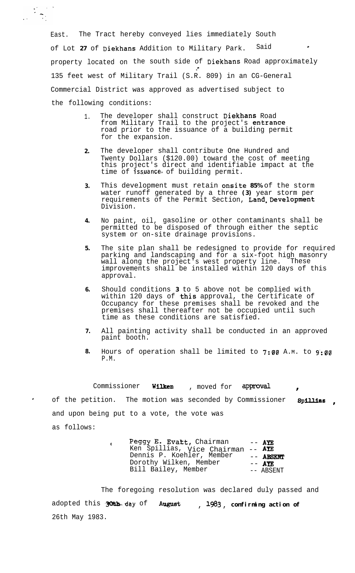East. The Tract hereby conveyed lies immediately South of Lot 27 of Diekhans Addition to Military Park. Said property located on the south side of Diekhans Road approximately : 135 feet west of Military Trail (S.R. 809) in an CG-General Commercial District was approved as advertised subject to the following conditions:

 $\tau_{\rm eff}$  .

- 1. The developer shall construct **Diekhans** Road from Military Trail to the project's **@ntranCe** road prior to the issuance of a building permit for the expansion.
- **2.** The developer shall contribute One Hundred and Twenty Dollars (\$120.00) toward the cost of meeting this project's direct and identifiable impact at the time of **isswance** of building permit.
- **3.** This development must retain onsite **85%** of the storm water runoff generated by a three **(3)** year storm per requirements of the Permit Section, Land, Development Division.
- **4.** No paint, oil, gasoline or other contaminants shall be permitted to be disposed of through either the septic system or on-site drainage provisions.
- **5.** The site plan shall be redesigned to provide for required parking and landscaping and for a six-foot high masonry wall along the project's west property line. These improvements shall be installed within 120 days of this approval.
- **6.** Should conditions **3** to 5 above not be complied with within 120 days of this approval, the Certificate of Occupancy for these premises shall be revoked and the premises shall thereafter not be occupied until such time as these conditions are satisfied.
- **7.** All painting activity shall be conducted in an approved paint booth.
- **8.** Hours of operation shall be limited to  $7:00$  A.M. to  $9:00$ P.M.

Commissioner Wilken , moved for approval of the petition. The motion was seconded by Commissioner Spillias and upon being put to a vote, the vote was as follows:

| Peggy E. Evatt, Chairman    | $---$ AYE |             |
|-----------------------------|-----------|-------------|
| Ken Spillias, Vice Chairman |           | $--$ ATE    |
| Dennis P. Koehler, Member   |           | -- ABSENT   |
| Dorothy Wilken, Member      |           | $--$ AYE    |
| Bill Bailey, Member         |           | $--$ ARSENT |

The foregoing resolution was declared duly passed and adopted this 30th day of August , 1983, confirming action of 26th May 1983.